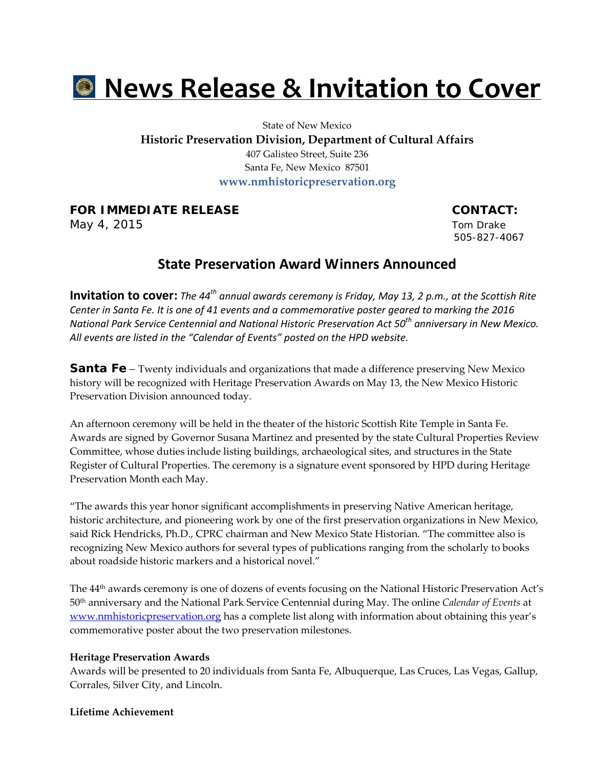# **News Release & Invitation to Cover**

State of New Mexico

**Historic Preservation Division, Department of Cultural Affairs**

407 Galisteo Street, Suite 236 Santa Fe, New Mexico 87501 **www.nmhistoricpreservation.org**

**FOR IMMEDIATE RELEASE CONTACT:** 

May 4, 2015 Tom Drake

505-827-4067

# **State Preservation Award Winners Announced**

**Invitation to cover:** *The 44th annual awards ceremony is Friday, May 13, 2 p.m., at the Scottish Rite Center in Santa Fe. It is one of 41 events and a commemorative poster geared to marking the 2016 National Park Service Centennial and National Historic Preservation Act 50th anniversary in New Mexico. All events are listed in the "Calendar of Events" posted on the HPD website.*

**Santa Fe** – Twenty individuals and organizations that made a difference preserving New Mexico history will be recognized with Heritage Preservation Awards on May 13, the New Mexico Historic Preservation Division announced today.

An afternoon ceremony will be held in the theater of the historic Scottish Rite Temple in Santa Fe. Awards are signed by Governor Susana Martinez and presented by the state Cultural Properties Review Committee, whose duties include listing buildings, archaeological sites, and structures in the State Register of Cultural Properties. The ceremony is a signature event sponsored by HPD during Heritage Preservation Month each May.

"The awards this year honor significant accomplishments in preserving Native American heritage, historic architecture, and pioneering work by one of the first preservation organizations in New Mexico, said Rick Hendricks, Ph.D., CPRC chairman and New Mexico State Historian. "The committee also is recognizing New Mexico authors for several types of publications ranging from the scholarly to books about roadside historic markers and a historical novel."

The 44th awards ceremony is one of dozens of events focusing on the National Historic Preservation Act's 50th anniversary and the National Park Service Centennial during May. The online *Calendar of Events* at [www.nmhistoricpreservation.org](http://www.nmhistoricpreservation.org/) has a complete list along with information about obtaining this year's commemorative poster about the two preservation milestones.

# **Heritage Preservation Awards**

Awards will be presented to 20 individuals from Santa Fe, Albuquerque, Las Cruces, Las Vegas, Gallup, Corrales, Silver City, and Lincoln.

# **Lifetime Achievement**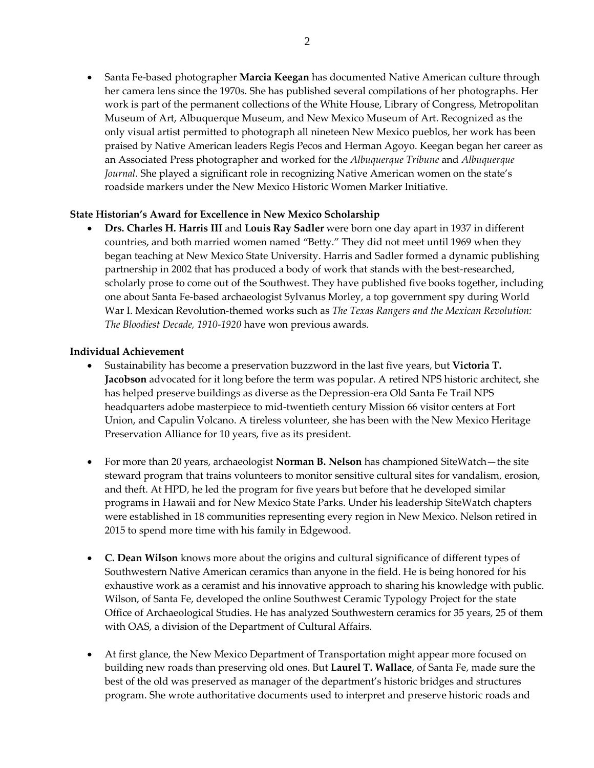• Santa Fe-based photographer **Marcia Keegan** has documented Native American culture through her camera lens since the 1970s. She has published several compilations of her photographs. Her work is part of the permanent collections of the White House, Library of Congress, Metropolitan Museum of Art, Albuquerque Museum, and New Mexico Museum of Art. Recognized as the only visual artist permitted to photograph all nineteen New Mexico pueblos, her work has been praised by Native American leaders Regis Pecos and Herman Agoyo. Keegan began her career as an Associated Press photographer and worked for the *Albuquerque Tribune* and *Albuquerque Journal*. She played a significant role in recognizing Native American women on the state's roadside markers under the New Mexico Historic Women Marker Initiative.

# **State Historian's Award for Excellence in New Mexico Scholarship**

• **Drs. Charles H. Harris III** and **Louis Ray Sadler** were born one day apart in 1937 in different countries, and both married women named "Betty." They did not meet until 1969 when they began teaching at New Mexico State University. Harris and Sadler formed a dynamic publishing partnership in 2002 that has produced a body of work that stands with the best-researched, scholarly prose to come out of the Southwest. They have published five books together, including one about Santa Fe-based archaeologist Sylvanus Morley, a top government spy during World War I. Mexican Revolution-themed works such as *The Texas Rangers and the Mexican Revolution: The Bloodiest Decade, 1910-1920* have won previous awards.

# **Individual Achievement**

- Sustainability has become a preservation buzzword in the last five years, but **Victoria T. Jacobson** advocated for it long before the term was popular. A retired NPS historic architect, she has helped preserve buildings as diverse as the Depression-era Old Santa Fe Trail NPS headquarters adobe masterpiece to mid-twentieth century Mission 66 visitor centers at Fort Union, and Capulin Volcano. A tireless volunteer, she has been with the New Mexico Heritage Preservation Alliance for 10 years, five as its president.
- For more than 20 years, archaeologist **Norman B. Nelson** has championed SiteWatch—the site steward program that trains volunteers to monitor sensitive cultural sites for vandalism, erosion, and theft. At HPD, he led the program for five years but before that he developed similar programs in Hawaii and for New Mexico State Parks. Under his leadership SiteWatch chapters were established in 18 communities representing every region in New Mexico. Nelson retired in 2015 to spend more time with his family in Edgewood.
- **C. Dean Wilson** knows more about the origins and cultural significance of different types of Southwestern Native American ceramics than anyone in the field. He is being honored for his exhaustive work as a ceramist and his innovative approach to sharing his knowledge with public. Wilson, of Santa Fe, developed the online Southwest Ceramic Typology Project for the state Office of Archaeological Studies. He has analyzed Southwestern ceramics for 35 years, 25 of them with OAS, a division of the Department of Cultural Affairs.
- At first glance, the New Mexico Department of Transportation might appear more focused on building new roads than preserving old ones. But **Laurel T. Wallace**, of Santa Fe, made sure the best of the old was preserved as manager of the department's historic bridges and structures program. She wrote authoritative documents used to interpret and preserve historic roads and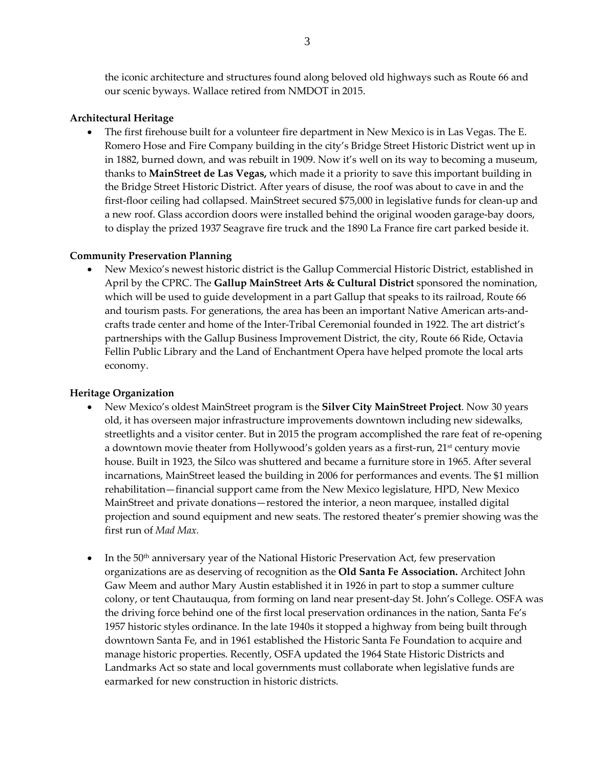the iconic architecture and structures found along beloved old highways such as Route 66 and our scenic byways. Wallace retired from NMDOT in 2015.

# **Architectural Heritage**

• The first firehouse built for a volunteer fire department in New Mexico is in Las Vegas. The E. Romero Hose and Fire Company building in the city's Bridge Street Historic District went up in in 1882, burned down, and was rebuilt in 1909. Now it's well on its way to becoming a museum, thanks to **MainStreet de Las Vegas,** which made it a priority to save this important building in the Bridge Street Historic District. After years of disuse, the roof was about to cave in and the first-floor ceiling had collapsed. MainStreet secured \$75,000 in legislative funds for clean-up and a new roof. Glass accordion doors were installed behind the original wooden garage-bay doors, to display the prized 1937 Seagrave fire truck and the 1890 La France fire cart parked beside it.

# **Community Preservation Planning**

• New Mexico's newest historic district is the Gallup Commercial Historic District, established in April by the CPRC. The **Gallup MainStreet Arts & Cultural District** sponsored the nomination, which will be used to guide development in a part Gallup that speaks to its railroad, Route 66 and tourism pasts. For generations, the area has been an important Native American arts-andcrafts trade center and home of the Inter-Tribal Ceremonial founded in 1922. The art district's partnerships with the Gallup Business Improvement District, the city, Route 66 Ride, Octavia Fellin Public Library and the Land of Enchantment Opera have helped promote the local arts economy.

# **Heritage Organization**

- New Mexico's oldest MainStreet program is the **Silver City MainStreet Project**. Now 30 years old, it has overseen major infrastructure improvements downtown including new sidewalks, streetlights and a visitor center. But in 2015 the program accomplished the rare feat of re-opening a downtown movie theater from Hollywood's golden years as a first-run,  $21<sup>st</sup>$  century movie house. Built in 1923, the Silco was shuttered and became a furniture store in 1965. After several incarnations, MainStreet leased the building in 2006 for performances and events. The \$1 million rehabilitation—financial support came from the New Mexico legislature, HPD, New Mexico MainStreet and private donations—restored the interior, a neon marquee, installed digital projection and sound equipment and new seats. The restored theater's premier showing was the first run of *Mad Max.*
- In the  $50<sup>th</sup>$  anniversary year of the National Historic Preservation Act, few preservation organizations are as deserving of recognition as the **Old Santa Fe Association.** Architect John Gaw Meem and author Mary Austin established it in 1926 in part to stop a summer culture colony, or tent Chautauqua, from forming on land near present-day St. John's College. OSFA was the driving force behind one of the first local preservation ordinances in the nation, Santa Fe's 1957 historic styles ordinance. In the late 1940s it stopped a highway from being built through downtown Santa Fe, and in 1961 established the Historic Santa Fe Foundation to acquire and manage historic properties. Recently, OSFA updated the 1964 State Historic Districts and Landmarks Act so state and local governments must collaborate when legislative funds are earmarked for new construction in historic districts.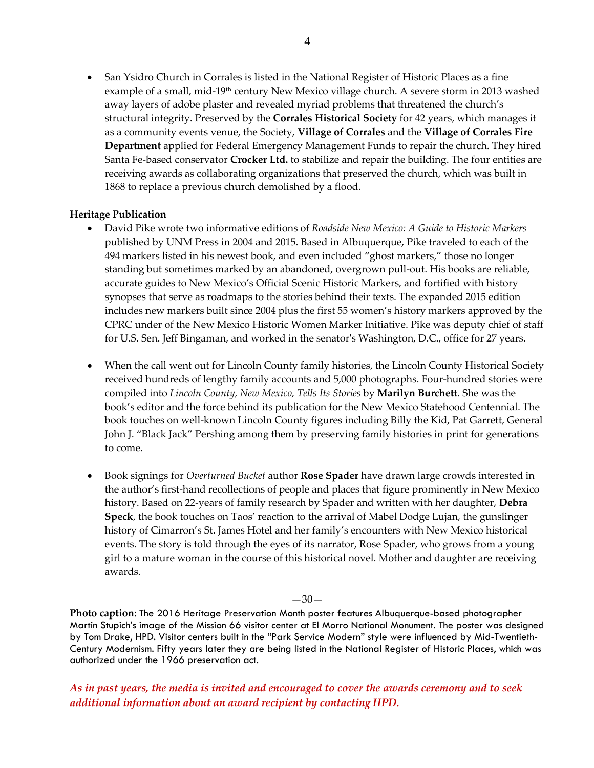• San Ysidro Church in Corrales is listed in the National Register of Historic Places as a fine example of a small, mid-19<sup>th</sup> century New Mexico village church. A severe storm in 2013 washed away layers of adobe plaster and revealed myriad problems that threatened the church's structural integrity. Preserved by the **Corrales Historical Society** for 42 years, which manages it as a community events venue, the Society, **Village of Corrales** and the **Village of Corrales Fire Department** applied for Federal Emergency Management Funds to repair the church. They hired Santa Fe-based conservator **Crocker Ltd.** to stabilize and repair the building. The four entities are receiving awards as collaborating organizations that preserved the church, which was built in 1868 to replace a previous church demolished by a flood.

#### **Heritage Publication**

- David Pike wrote two informative editions of *Roadside New Mexico: A Guide to Historic Markers* published by UNM Press in 2004 and 2015. Based in Albuquerque, Pike traveled to each of the 494 markers listed in his newest book, and even included "ghost markers," those no longer standing but sometimes marked by an abandoned, overgrown pull-out. His books are reliable, accurate guides to New Mexico's Official Scenic Historic Markers, and fortified with history synopses that serve as roadmaps to the stories behind their texts. The expanded 2015 edition includes new markers built since 2004 plus the first 55 women's history markers approved by the CPRC under of the New Mexico Historic Women Marker Initiative. Pike was deputy chief of staff for U.S. Sen. Jeff Bingaman, and worked in the senator's Washington, D.C., office for 27 years.
- When the call went out for Lincoln County family histories, the Lincoln County Historical Society received hundreds of lengthy family accounts and 5,000 photographs. Four-hundred stories were compiled into *Lincoln County, New Mexico, Tells Its Stories* by **Marilyn Burchett**. She was the book's editor and the force behind its publication for the New Mexico Statehood Centennial. The book touches on well-known Lincoln County figures including Billy the Kid, Pat Garrett, General John J. "Black Jack" Pershing among them by preserving family histories in print for generations to come.
- Book signings for *Overturned Bucket* author **Rose Spader** have drawn large crowds interested in the author's first-hand recollections of people and places that figure prominently in New Mexico history. Based on 22-years of family research by Spader and written with her daughter, **Debra Speck**, the book touches on Taos' reaction to the arrival of Mabel Dodge Lujan, the gunslinger history of Cimarron's St. James Hotel and her family's encounters with New Mexico historical events. The story is told through the eyes of its narrator, Rose Spader, who grows from a young girl to a mature woman in the course of this historical novel. Mother and daughter are receiving awards.

 $-30-$ 

**Photo caption:** The 2016 Heritage Preservation Month poster features Albuquerque-based photographer Martin Stupich's image of the Mission 66 visitor center at El Morro National Monument. The poster was designed by Tom Drake, HPD. Visitor centers built in the "Park Service Modern" style were influenced by Mid-Twentieth-Century Modernism. Fifty years later they are being listed in the National Register of Historic Places, which was authorized under the 1966 preservation act.

*As in past years, the media is invited and encouraged to cover the awards ceremony and to seek additional information about an award recipient by contacting HPD.*